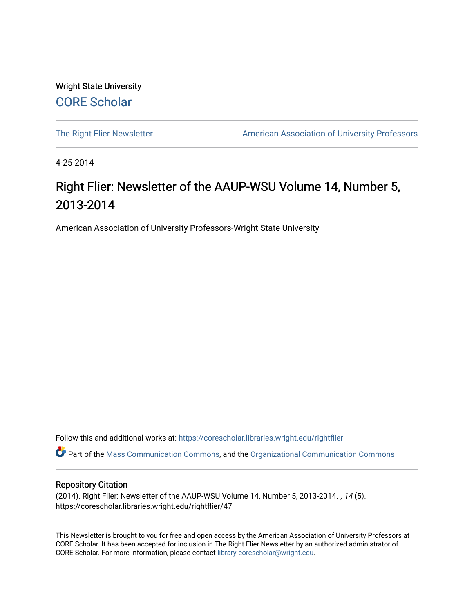Wright State University [CORE Scholar](https://corescholar.libraries.wright.edu/)

[The Right Flier Newsletter](https://corescholar.libraries.wright.edu/rightflier) **American Association of University Professors** 

4-25-2014

### Right Flier: Newsletter of the AAUP-WSU Volume 14, Number 5, 2013-2014

American Association of University Professors-Wright State University

Follow this and additional works at: [https://corescholar.libraries.wright.edu/rightflier](https://corescholar.libraries.wright.edu/rightflier?utm_source=corescholar.libraries.wright.edu%2Frightflier%2F47&utm_medium=PDF&utm_campaign=PDFCoverPages) 

Part of the [Mass Communication Commons,](http://network.bepress.com/hgg/discipline/334?utm_source=corescholar.libraries.wright.edu%2Frightflier%2F47&utm_medium=PDF&utm_campaign=PDFCoverPages) and the [Organizational Communication Commons](http://network.bepress.com/hgg/discipline/335?utm_source=corescholar.libraries.wright.edu%2Frightflier%2F47&utm_medium=PDF&utm_campaign=PDFCoverPages) 

#### Repository Citation

(2014). Right Flier: Newsletter of the AAUP-WSU Volume 14, Number 5, 2013-2014. , 14 (5). https://corescholar.libraries.wright.edu/rightflier/47

This Newsletter is brought to you for free and open access by the American Association of University Professors at CORE Scholar. It has been accepted for inclusion in The Right Flier Newsletter by an authorized administrator of CORE Scholar. For more information, please contact [library-corescholar@wright.edu](mailto:library-corescholar@wright.edu).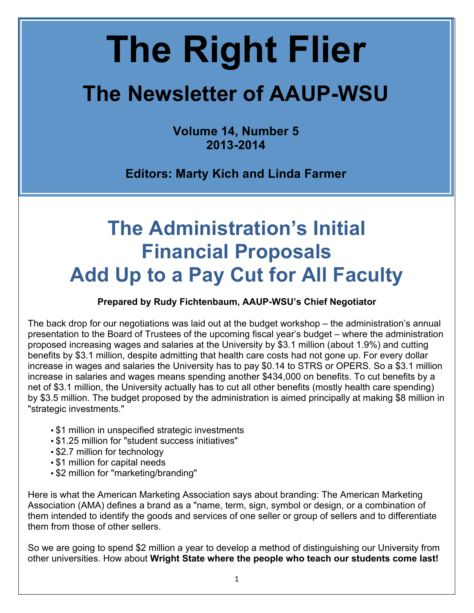# **The Right Flier**

## **The Newsletter of AAUP-WSU**

**Volume 14, Number 5 2013-2014**

**Editors: Marty Kich and Linda Farmer**

### **The Administration's Initial Financial Proposals Add Up to a Pay Cut for All Faculty**

### **Prepared by Rudy Fichtenbaum, AAUP-WSU's Chief Negotiator**

The back drop for our negotiations was laid out at the budget workshop – the administration's annual presentation to the Board of Trustees of the upcoming fiscal year's budget – where the administration proposed increasing wages and salaries at the University by \$3.1 million (about 1.9%) and cutting benefits by \$3.1 million, despite admitting that health care costs had not gone up. For every dollar increase in wages and salaries the University has to pay \$0.14 to STRS or OPERS. So a \$3.1 million increase in salaries and wages means spending another \$434,000 on benefits. To cut benefits by a net of \$3.1 million, the University actually has to cut all other benefits (mostly health care spending) by \$3.5 million. The budget proposed by the administration is aimed principally at making \$8 million in "strategic investments."

- \$1 million in unspecified strategic investments
- \$1.25 million for "student success initiatives"
- \$2.7 million for technology
- \$1 million for capital needs
- \$2 million for "marketing/branding"

Here is what the American Marketing Association says about branding: The American Marketing Association (AMA) defines a brand as a "name, term, sign, symbol or design, or a combination of them intended to identify the goods and services of one seller or group of sellers and to differentiate them from those of other sellers.

So we are going to spend \$2 million a year to develop a method of distinguishing our University from other universities. How about **Wright State where the people who teach our students come last!**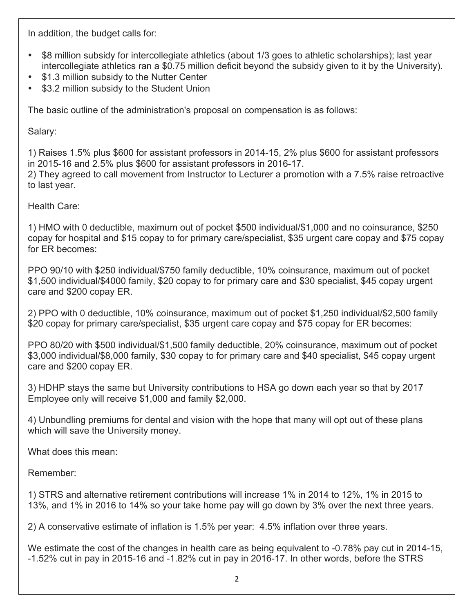In addition, the budget calls for:

- \$8 million subsidy for intercollegiate athletics (about 1/3 goes to athletic scholarships); last year intercollegiate athletics ran a \$0.75 million deficit beyond the subsidy given to it by the University).
- \$1.3 million subsidy to the Nutter Center
- \$3.2 million subsidy to the Student Union

The basic outline of the administration's proposal on compensation is as follows:

Salary:

1) Raises 1.5% plus \$600 for assistant professors in 2014-15, 2% plus \$600 for assistant professors in 2015-16 and 2.5% plus \$600 for assistant professors in 2016-17.

2) They agreed to call movement from Instructor to Lecturer a promotion with a 7.5% raise retroactive to last year.

Health Care:

1) HMO with 0 deductible, maximum out of pocket \$500 individual/\$1,000 and no coinsurance, \$250 copay for hospital and \$15 copay to for primary care/specialist, \$35 urgent care copay and \$75 copay for ER becomes:

PPO 90/10 with \$250 individual/\$750 family deductible, 10% coinsurance, maximum out of pocket \$1,500 individual/\$4000 family, \$20 copay to for primary care and \$30 specialist, \$45 copay urgent care and \$200 copay ER.

2) PPO with 0 deductible, 10% coinsurance, maximum out of pocket \$1,250 individual/\$2,500 family \$20 copay for primary care/specialist, \$35 urgent care copay and \$75 copay for ER becomes:

PPO 80/20 with \$500 individual/\$1,500 family deductible, 20% coinsurance, maximum out of pocket \$3,000 individual/\$8,000 family, \$30 copay to for primary care and \$40 specialist, \$45 copay urgent care and \$200 copay ER.

3) HDHP stays the same but University contributions to HSA go down each year so that by 2017 Employee only will receive \$1,000 and family \$2,000.

4) Unbundling premiums for dental and vision with the hope that many will opt out of these plans which will save the University money.

What does this mean:

Remember:

1) STRS and alternative retirement contributions will increase 1% in 2014 to 12%, 1% in 2015 to 13%, and 1% in 2016 to 14% so your take home pay will go down by 3% over the next three years.

2) A conservative estimate of inflation is 1.5% per year: 4.5% inflation over three years.

We estimate the cost of the changes in health care as being equivalent to -0.78% pay cut in 2014-15, -1.52% cut in pay in 2015-16 and -1.82% cut in pay in 2016-17. In other words, before the STRS